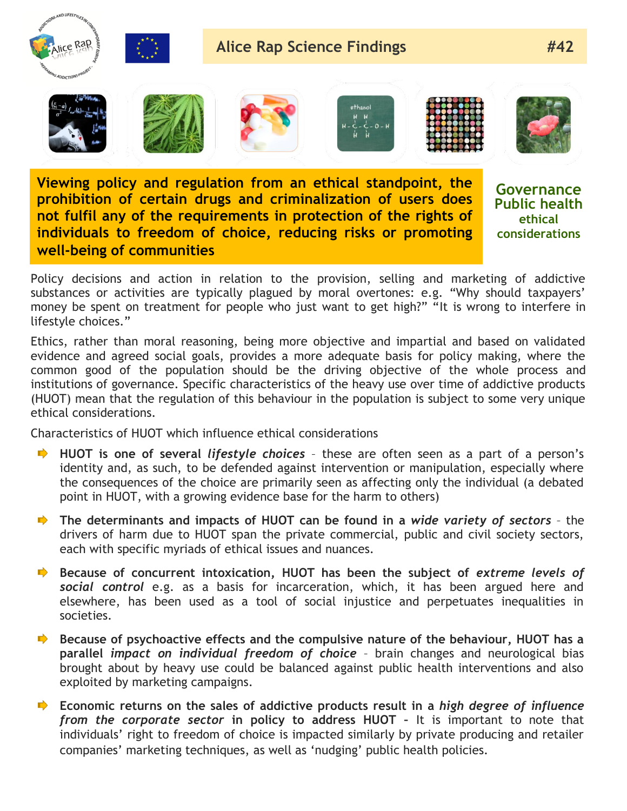

**Viewing policy and regulation from an ethical standpoint, the prohibition of certain drugs and criminalization of users does not fulfil any of the requirements in protection of the rights of individuals to freedom of choice, reducing risks or promoting well-being of communities**

**Governance Public health ethical considerations**

Policy decisions and action in relation to the provision, selling and marketing of addictive substances or activities are typically plagued by moral overtones: e.g. "Why should taxpayers' money be spent on treatment for people who just want to get high?" "It is wrong to interfere in lifestyle choices."

Ethics, rather than moral reasoning, being more objective and impartial and based on validated evidence and agreed social goals, provides a more adequate basis for policy making, where the common good of the population should be the driving objective of the whole process and institutions of governance. Specific characteristics of the heavy use over time of addictive products (HUOT) mean that the regulation of this behaviour in the population is subject to some very unique ethical considerations.

Characteristics of HUOT which influence ethical considerations

- **HUOT** is one of several *lifestyle choices* these are often seen as a part of a person's identity and, as such, to be defended against intervention or manipulation, especially where the consequences of the choice are primarily seen as affecting only the individual (a debated point in HUOT, with a growing evidence base for the harm to others)
- **The determinants and impacts of HUOT can be found in a** *wide variety of sectors* the drivers of harm due to HUOT span the private commercial, public and civil society sectors, each with specific myriads of ethical issues and nuances.
- **Because of concurrent intoxication, HUOT has been the subject of extreme levels of** *social control* e.g. as a basis for incarceration, which, it has been argued here and elsewhere, has been used as a tool of social injustice and perpetuates inequalities in societies.
- **Because of psychoactive effects and the compulsive nature of the behaviour, HUOT has a**  $\Rightarrow$ **parallel** *impact on individual freedom of choice* – brain changes and neurological bias brought about by heavy use could be balanced against public health interventions and also exploited by marketing campaigns.
- **Economic returns on the sales of addictive products result in a** *high degree of influence from the corporate sector* **in policy to address HUOT –** It is important to note that individuals' right to freedom of choice is impacted similarly by private producing and retailer companies' marketing techniques, as well as 'nudging' public health policies.